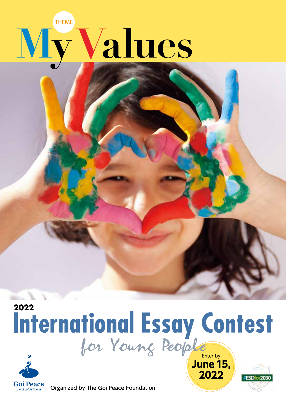## **THEME** Values

## 2022 International Essay Contest



Organized by The Goi Peace Foundation